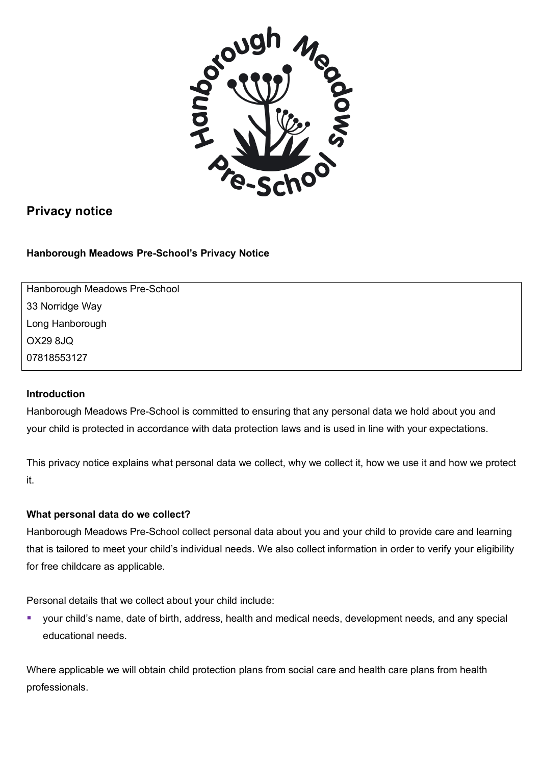

# **Privacy notice**

**Hanborough Meadows Pre-School's Privacy Notice**

Hanborough Meadows Pre-School 33 Norridge Way Long Hanborough OX29 8JQ 07818553127

# **Introduction**

Hanborough Meadows Pre-School is committed to ensuring that any personal data we hold about you and your child is protected in accordance with data protection laws and is used in line with your expectations.

This privacy notice explains what personal data we collect, why we collect it, how we use it and how we protect it.

# **What personal data do we collect?**

Hanborough Meadows Pre-School collect personal data about you and your child to provide care and learning that is tailored to meet your child's individual needs. We also collect information in order to verify your eligibility for free childcare as applicable.

Personal details that we collect about your child include:

§ your child's name, date of birth, address, health and medical needs, development needs, and any special educational needs.

Where applicable we will obtain child protection plans from social care and health care plans from health professionals.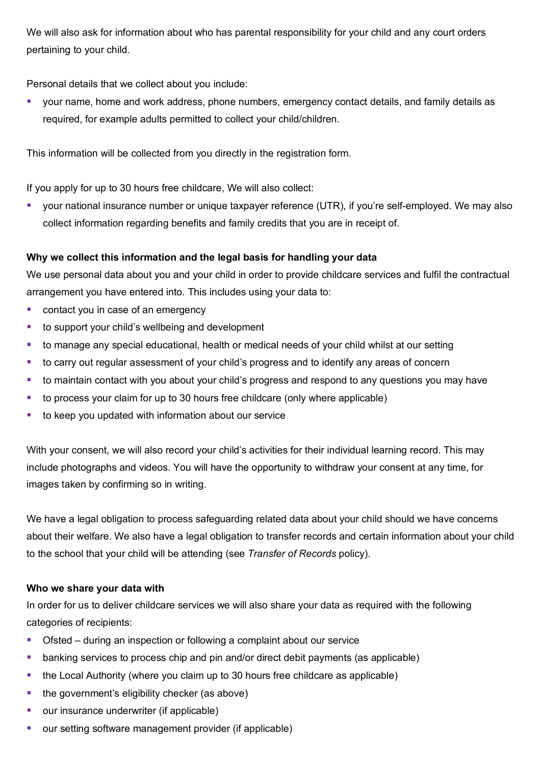We will also ask for information about who has parental responsibility for your child and any court orders pertaining to your child.

Personal details that we collect about you include:

§ your name, home and work address, phone numbers, emergency contact details, and family details as required, for example adults permitted to collect your child/children.

This information will be collected from you directly in the registration form.

If you apply for up to 30 hours free childcare, We will also collect:

■ vour national insurance number or unique taxpayer reference (UTR), if you're self-employed. We may also collect information regarding benefits and family credits that you are in receipt of.

# **Why we collect this information and the legal basis for handling your data**

We use personal data about you and your child in order to provide childcare services and fulfil the contractual arrangement you have entered into. This includes using your data to:

- contact you in case of an emergency
- to support your child's wellbeing and development
- to manage any special educational, health or medical needs of your child whilst at our setting
- to carry out regular assessment of your child's progress and to identify any areas of concern
- to maintain contact with you about your child's progress and respond to any questions you may have
- to process your claim for up to 30 hours free childcare (only where applicable)
- to keep you updated with information about our service

With your consent, we will also record your child's activities for their individual learning record. This may include photographs and videos. You will have the opportunity to withdraw your consent at any time, for images taken by confirming so in writing.

We have a legal obligation to process safeguarding related data about your child should we have concerns about their welfare. We also have a legal obligation to transfer records and certain information about your child to the school that your child will be attending (see *Transfer of Records* policy).

# **Who we share your data with**

In order for us to deliver childcare services we will also share your data as required with the following categories of recipients:

- Ofsted during an inspection or following a complaint about our service
- banking services to process chip and pin and/or direct debit payments (as applicable)
- the Local Authority (where you claim up to 30 hours free childcare as applicable)
- the government's eligibility checker (as above)
- our insurance underwriter (if applicable)
- our setting software management provider (if applicable)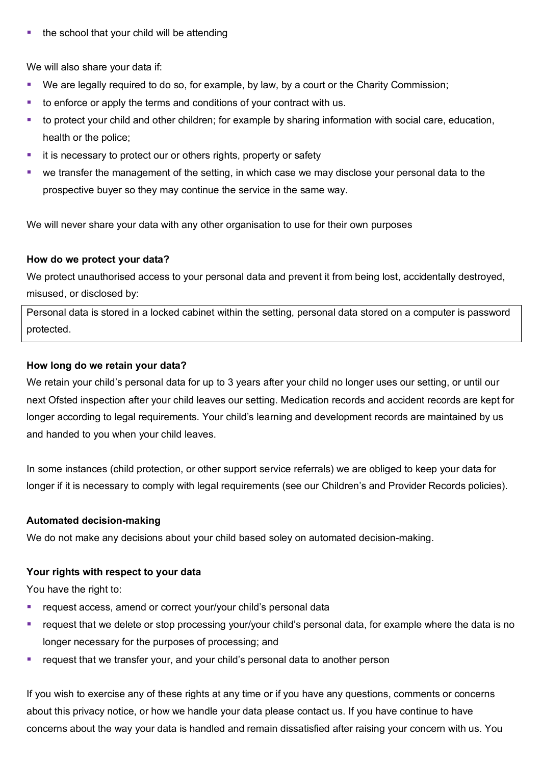■ the school that your child will be attending

We will also share your data if:

- We are legally required to do so, for example, by law, by a court or the Charity Commission;
- § to enforce or apply the terms and conditions of your contract with us.
- to protect your child and other children; for example by sharing information with social care, education, health or the police;
- it is necessary to protect our or others rights, property or safety
- we transfer the management of the setting, in which case we may disclose your personal data to the prospective buyer so they may continue the service in the same way.

We will never share your data with any other organisation to use for their own purposes

#### **How do we protect your data?**

We protect unauthorised access to your personal data and prevent it from being lost, accidentally destroyed, misused, or disclosed by:

Personal data is stored in a locked cabinet within the setting, personal data stored on a computer is password protected.

#### **How long do we retain your data?**

We retain your child's personal data for up to 3 years after your child no longer uses our setting, or until our next Ofsted inspection after your child leaves our setting. Medication records and accident records are kept for longer according to legal requirements. Your child's learning and development records are maintained by us and handed to you when your child leaves.

In some instances (child protection, or other support service referrals) we are obliged to keep your data for longer if it is necessary to comply with legal requirements (see our Children's and Provider Records policies).

#### **Automated decision-making**

We do not make any decisions about your child based soley on automated decision-making.

# **Your rights with respect to your data**

You have the right to:

- request access, amend or correct your/your child's personal data
- request that we delete or stop processing your/your child's personal data, for example where the data is no longer necessary for the purposes of processing; and
- request that we transfer your, and your child's personal data to another person

If you wish to exercise any of these rights at any time or if you have any questions, comments or concerns about this privacy notice, or how we handle your data please contact us. If you have continue to have concerns about the way your data is handled and remain dissatisfied after raising your concern with us. You